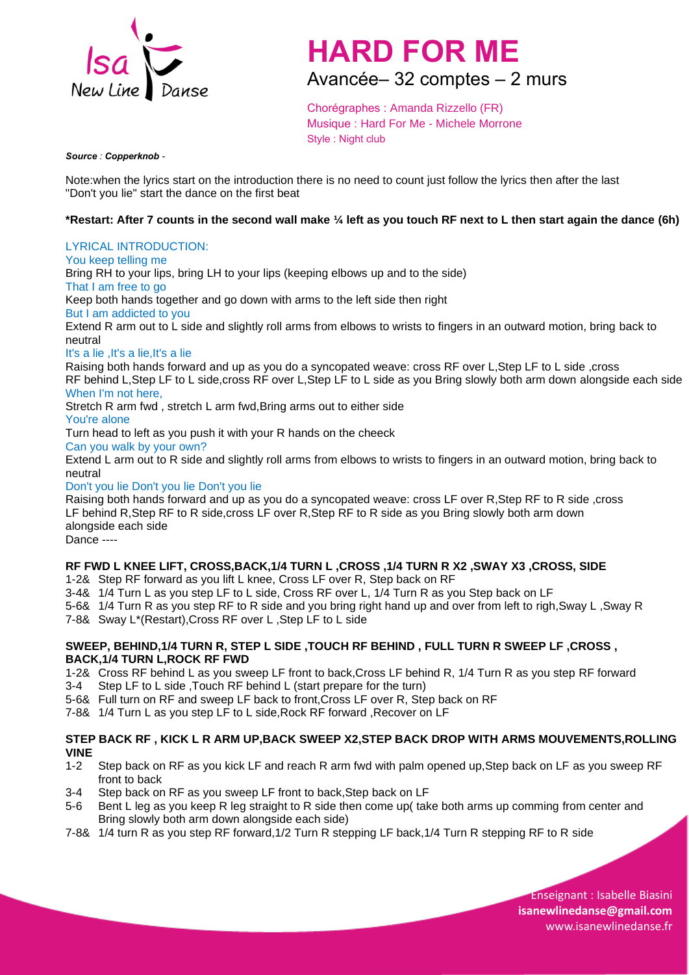

# **HARD FOR ME**

Avancée– 32 comptes – 2 murs

Chorégraphes : Amanda Rizzello (FR) Musique : Hard For Me - Michele Morrone Style : Night club

*Source : Copperknob -*

Note:when the lyrics start on the introduction there is no need to count just follow the lyrics then after the last "Don't you lie" start the dance on the first beat

# **\*Restart: After 7 counts in the second wall make ¼ left as you touch RF next to L then start again the dance (6h)**

# LYRICAL INTRODUCTION:

You keep telling me

Bring RH to your lips, bring LH to your lips (keeping elbows up and to the side)

That I am free to go

Keep both hands together and go down with arms to the left side then right

But I am addicted to you

Extend R arm out to L side and slightly roll arms from elbows to wrists to fingers in an outward motion, bring back to neutral

It's a lie ,It's a lie,It's a lie

Raising both hands forward and up as you do a syncopated weave: cross RF over L,Step LF to L side ,cross RF behind L,Step LF to L side,cross RF over L,Step LF to L side as you Bring slowly both arm down alongside each side

#### When I'm not here,

Stretch R arm fwd , stretch L arm fwd,Bring arms out to either side

#### You're alone

Turn head to left as you push it with your R hands on the cheeck

Can you walk by your own?

Extend L arm out to R side and slightly roll arms from elbows to wrists to fingers in an outward motion, bring back to neutral

Don't you lie Don't you lie Don't you lie

Raising both hands forward and up as you do a syncopated weave: cross LF over R,Step RF to R side ,cross LF behind R,Step RF to R side,cross LF over R,Step RF to R side as you Bring slowly both arm down alongside each side

Dance ----

## **RF FWD L KNEE LIFT, CROSS,BACK,1/4 TURN L ,CROSS ,1/4 TURN R X2 ,SWAY X3 ,CROSS, SIDE**

1-2& Step RF forward as you lift L knee, Cross LF over R, Step back on RF

3-4& 1/4 Turn L as you step LF to L side, Cross RF over L, 1/4 Turn R as you Step back on LF

5-6& 1/4 Turn R as you step RF to R side and you bring right hand up and over from left to righ,Sway L ,Sway R

7-8& Sway L\*(Restart),Cross RF over L ,Step LF to L side

#### **SWEEP, BEHIND,1/4 TURN R, STEP L SIDE ,TOUCH RF BEHIND , FULL TURN R SWEEP LF ,CROSS , BACK,1/4 TURN L,ROCK RF FWD**

1-2& Cross RF behind L as you sweep LF front to back,Cross LF behind R, 1/4 Turn R as you step RF forward

- 3-4 Step LF to L side ,Touch RF behind L (start prepare for the turn)
- 5-6& Full turn on RF and sweep LF back to front,Cross LF over R, Step back on RF
- 7-8& 1/4 Turn L as you step LF to L side,Rock RF forward ,Recover on LF

## **STEP BACK RF , KICK L R ARM UP,BACK SWEEP X2,STEP BACK DROP WITH ARMS MOUVEMENTS,ROLLING VINE**

- 1-2 Step back on RF as you kick LF and reach R arm fwd with palm opened up,Step back on LF as you sweep RF front to back
- 3-4 Step back on RF as you sweep LF front to back,Step back on LF
- 5-6 Bent L leg as you keep R leg straight to R side then come up( take both arms up comming from center and Bring slowly both arm down alongside each side)
- 7-8& 1/4 turn R as you step RF forward,1/2 Turn R stepping LF back,1/4 Turn R stepping RF to R side

Enseignant : Isabelle Biasini **[isan](mailto:isadums@free.fr)ewlinedanse@gmail.com** www.isanewlinedanse.fr